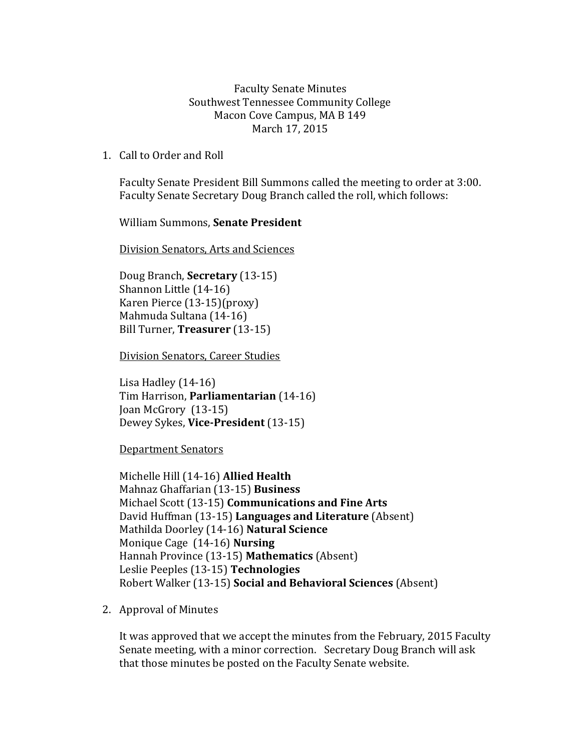Faculty Senate Minutes Southwest Tennessee Community College Macon Cove Campus, MA B 149 March 17, 2015

1. Call to Order and Roll

Faculty Senate President Bill Summons called the meeting to order at 3:00. Faculty Senate Secretary Doug Branch called the roll, which follows:

William Summons, **Senate President**

Division Senators, Arts and Sciences

Doug Branch, **Secretary** (13-15) Shannon Little (14-16) Karen Pierce (13-15)(proxy) Mahmuda Sultana (14-16) Bill Turner, **Treasurer** (13-15)

Division Senators, Career Studies

Lisa Hadley (14-16) Tim Harrison, **Parliamentarian** (14-16) Joan McGrory (13-15) Dewey Sykes, **Vice-President** (13-15)

Department Senators

Michelle Hill (14-16) **Allied Health** Mahnaz Ghaffarian (13-15) **Business** Michael Scott (13-15) **Communications and Fine Arts** David Huffman (13-15) **Languages and Literature** (Absent) Mathilda Doorley (14-16) **Natural Science** Monique Cage (14-16) **Nursing** Hannah Province (13-15) **Mathematics** (Absent) Leslie Peeples (13-15) **Technologies**  Robert Walker (13-15) **Social and Behavioral Sciences** (Absent)

2. Approval of Minutes

It was approved that we accept the minutes from the February, 2015 Faculty Senate meeting, with a minor correction. Secretary Doug Branch will ask that those minutes be posted on the Faculty Senate website.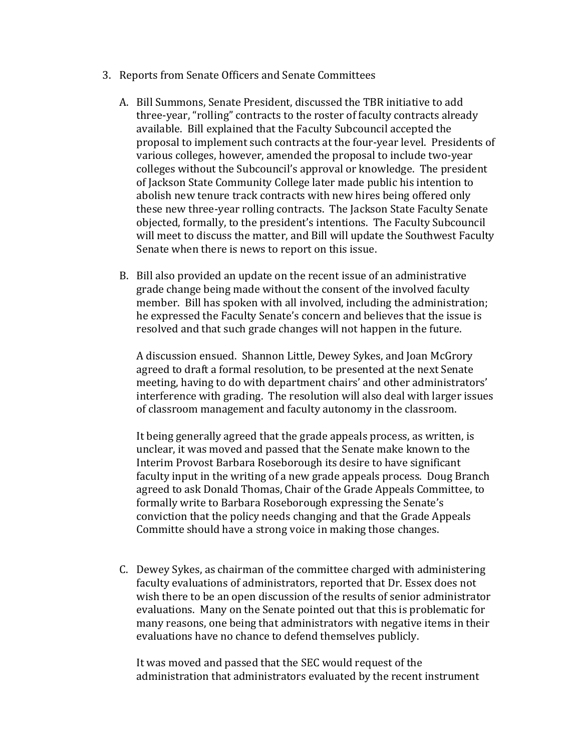- 3. Reports from Senate Officers and Senate Committees
	- A. Bill Summons, Senate President, discussed the TBR initiative to add three-year, "rolling" contracts to the roster of faculty contracts already available. Bill explained that the Faculty Subcouncil accepted the proposal to implement such contracts at the four-year level. Presidents of various colleges, however, amended the proposal to include two-year colleges without the Subcouncil's approval or knowledge. The president of Jackson State Community College later made public his intention to abolish new tenure track contracts with new hires being offered only these new three-year rolling contracts. The Jackson State Faculty Senate objected, formally, to the president's intentions. The Faculty Subcouncil will meet to discuss the matter, and Bill will update the Southwest Faculty Senate when there is news to report on this issue.
	- B. Bill also provided an update on the recent issue of an administrative grade change being made without the consent of the involved faculty member. Bill has spoken with all involved, including the administration; he expressed the Faculty Senate's concern and believes that the issue is resolved and that such grade changes will not happen in the future.

A discussion ensued. Shannon Little, Dewey Sykes, and Joan McGrory agreed to draft a formal resolution, to be presented at the next Senate meeting, having to do with department chairs' and other administrators' interference with grading. The resolution will also deal with larger issues of classroom management and faculty autonomy in the classroom.

It being generally agreed that the grade appeals process, as written, is unclear, it was moved and passed that the Senate make known to the Interim Provost Barbara Roseborough its desire to have significant faculty input in the writing of a new grade appeals process. Doug Branch agreed to ask Donald Thomas, Chair of the Grade Appeals Committee, to formally write to Barbara Roseborough expressing the Senate's conviction that the policy needs changing and that the Grade Appeals Committe should have a strong voice in making those changes.

C. Dewey Sykes, as chairman of the committee charged with administering faculty evaluations of administrators, reported that Dr. Essex does not wish there to be an open discussion of the results of senior administrator evaluations. Many on the Senate pointed out that this is problematic for many reasons, one being that administrators with negative items in their evaluations have no chance to defend themselves publicly.

It was moved and passed that the SEC would request of the administration that administrators evaluated by the recent instrument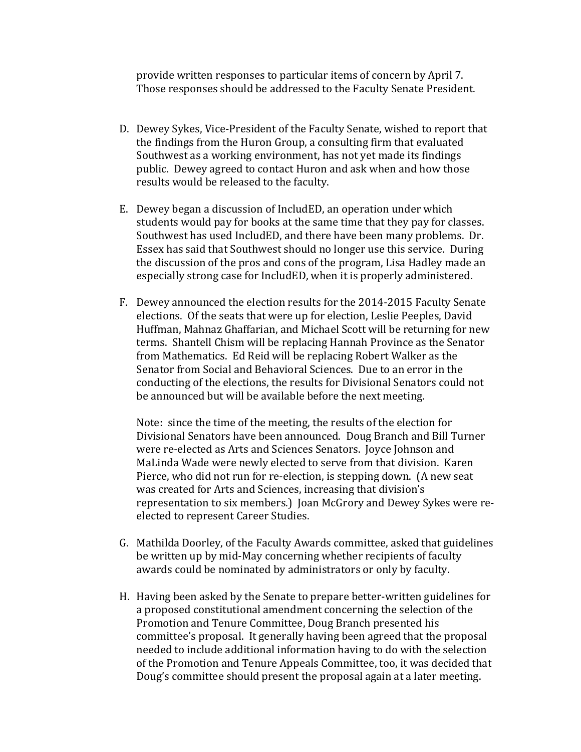provide written responses to particular items of concern by April 7. Those responses should be addressed to the Faculty Senate President.

- D. Dewey Sykes, Vice-President of the Faculty Senate, wished to report that the findings from the Huron Group, a consulting firm that evaluated Southwest as a working environment, has not yet made its findings public. Dewey agreed to contact Huron and ask when and how those results would be released to the faculty.
- E. Dewey began a discussion of IncludED, an operation under which students would pay for books at the same time that they pay for classes. Southwest has used IncludED, and there have been many problems. Dr. Essex has said that Southwest should no longer use this service. During the discussion of the pros and cons of the program, Lisa Hadley made an especially strong case for IncludED, when it is properly administered.
- F. Dewey announced the election results for the 2014-2015 Faculty Senate elections. Of the seats that were up for election, Leslie Peeples, David Huffman, Mahnaz Ghaffarian, and Michael Scott will be returning for new terms. Shantell Chism will be replacing Hannah Province as the Senator from Mathematics. Ed Reid will be replacing Robert Walker as the Senator from Social and Behavioral Sciences. Due to an error in the conducting of the elections, the results for Divisional Senators could not be announced but will be available before the next meeting.

Note: since the time of the meeting, the results of the election for Divisional Senators have been announced. Doug Branch and Bill Turner were re-elected as Arts and Sciences Senators. Joyce Johnson and MaLinda Wade were newly elected to serve from that division. Karen Pierce, who did not run for re-election, is stepping down. (A new seat was created for Arts and Sciences, increasing that division's representation to six members.) Joan McGrory and Dewey Sykes were reelected to represent Career Studies.

- G. Mathilda Doorley, of the Faculty Awards committee, asked that guidelines be written up by mid-May concerning whether recipients of faculty awards could be nominated by administrators or only by faculty.
- H. Having been asked by the Senate to prepare better-written guidelines for a proposed constitutional amendment concerning the selection of the Promotion and Tenure Committee, Doug Branch presented his committee's proposal. It generally having been agreed that the proposal needed to include additional information having to do with the selection of the Promotion and Tenure Appeals Committee, too, it was decided that Doug's committee should present the proposal again at a later meeting.